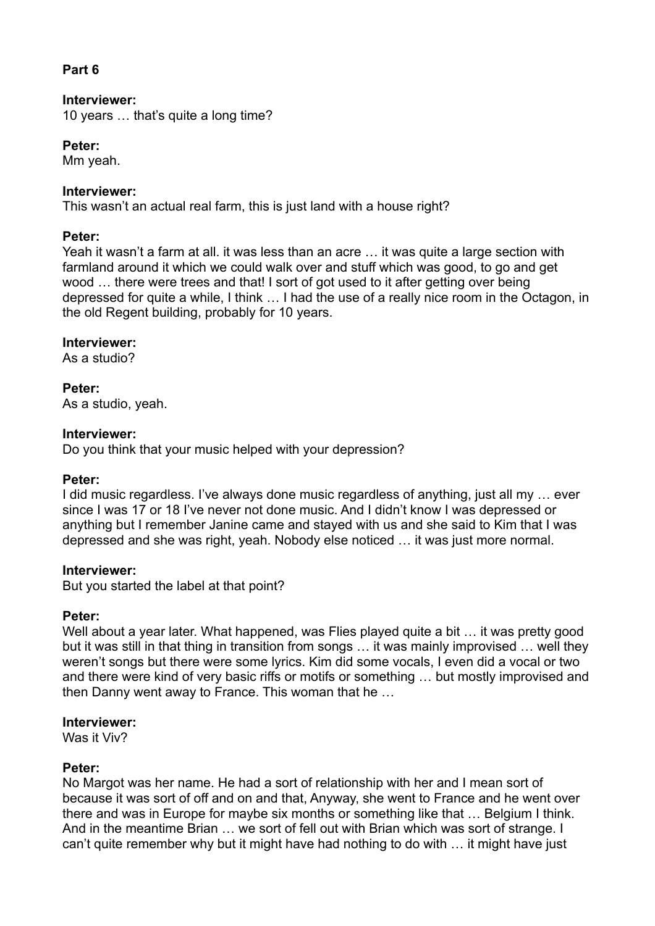# **Part 6**

# **Interviewer:**

10 years … that's quite a long time?

#### **Peter:**

Mm yeah.

# **Interviewer:**

This wasn't an actual real farm, this is just land with a house right?

## **Peter:**

Yeah it wasn't a farm at all. it was less than an acre … it was quite a large section with farmland around it which we could walk over and stuff which was good, to go and get wood … there were trees and that! I sort of got used to it after getting over being depressed for quite a while, I think … I had the use of a really nice room in the Octagon, in the old Regent building, probably for 10 years.

## **Interviewer:**

As a studio?

## **Peter:**

As a studio, yeah.

## **Interviewer:**

Do you think that your music helped with your depression?

## **Peter:**

I did music regardless. I've always done music regardless of anything, just all my … ever since I was 17 or 18 I've never not done music. And I didn't know I was depressed or anything but I remember Janine came and stayed with us and she said to Kim that I was depressed and she was right, yeah. Nobody else noticed … it was just more normal.

## **Interviewer:**

But you started the label at that point?

## **Peter:**

Well about a year later. What happened, was Flies played quite a bit ... it was pretty good but it was still in that thing in transition from songs … it was mainly improvised … well they weren't songs but there were some lyrics. Kim did some vocals, I even did a vocal or two and there were kind of very basic riffs or motifs or something … but mostly improvised and then Danny went away to France. This woman that he …

## **Interviewer:**

Was it Viv?

## **Peter:**

No Margot was her name. He had a sort of relationship with her and I mean sort of because it was sort of off and on and that, Anyway, she went to France and he went over there and was in Europe for maybe six months or something like that … Belgium I think. And in the meantime Brian … we sort of fell out with Brian which was sort of strange. I can't quite remember why but it might have had nothing to do with … it might have just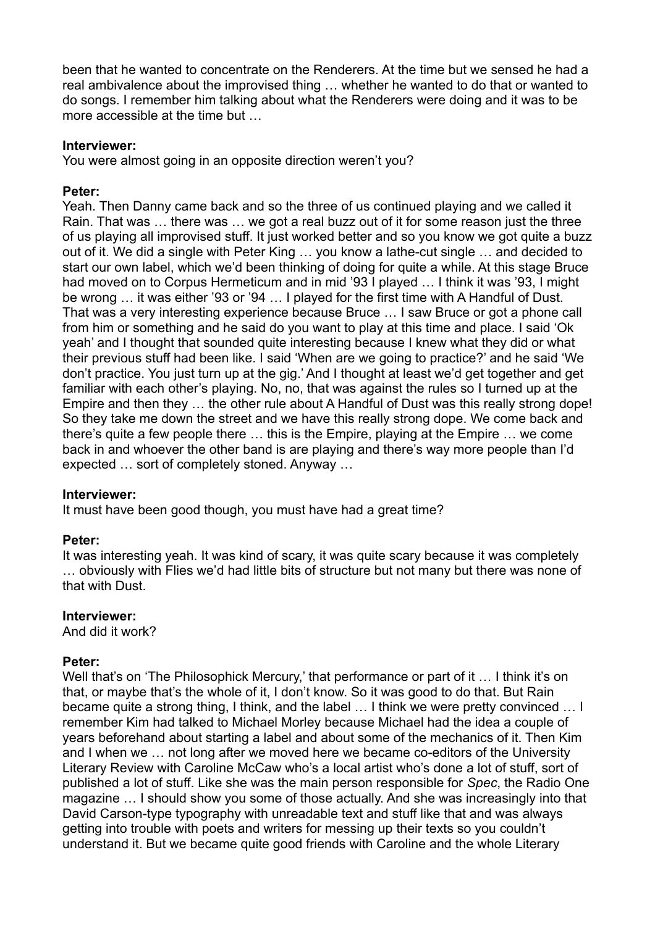been that he wanted to concentrate on the Renderers. At the time but we sensed he had a real ambivalence about the improvised thing … whether he wanted to do that or wanted to do songs. I remember him talking about what the Renderers were doing and it was to be more accessible at the time but …

#### **Interviewer:**

You were almost going in an opposite direction weren't you?

#### **Peter:**

Yeah. Then Danny came back and so the three of us continued playing and we called it Rain. That was … there was … we got a real buzz out of it for some reason just the three of us playing all improvised stuff. It just worked better and so you know we got quite a buzz out of it. We did a single with Peter King … you know a lathe-cut single … and decided to start our own label, which we'd been thinking of doing for quite a while. At this stage Bruce had moved on to Corpus Hermeticum and in mid '93 I played … I think it was '93, I might be wrong … it was either '93 or '94 … I played for the first time with A Handful of Dust. That was a very interesting experience because Bruce … I saw Bruce or got a phone call from him or something and he said do you want to play at this time and place. I said 'Ok yeah' and I thought that sounded quite interesting because I knew what they did or what their previous stuff had been like. I said 'When are we going to practice?' and he said 'We don't practice. You just turn up at the gig.' And I thought at least we'd get together and get familiar with each other's playing. No, no, that was against the rules so I turned up at the Empire and then they … the other rule about A Handful of Dust was this really strong dope! So they take me down the street and we have this really strong dope. We come back and there's quite a few people there … this is the Empire, playing at the Empire … we come back in and whoever the other band is are playing and there's way more people than I'd expected … sort of completely stoned. Anyway …

#### **Interviewer:**

It must have been good though, you must have had a great time?

## **Peter:**

It was interesting yeah. It was kind of scary, it was quite scary because it was completely … obviously with Flies we'd had little bits of structure but not many but there was none of that with Dust.

#### **Interviewer:**

And did it work?

#### **Peter:**

Well that's on 'The Philosophick Mercury,' that performance or part of it ... I think it's on that, or maybe that's the whole of it, I don't know. So it was good to do that. But Rain became quite a strong thing, I think, and the label … I think we were pretty convinced … I remember Kim had talked to Michael Morley because Michael had the idea a couple of years beforehand about starting a label and about some of the mechanics of it. Then Kim and I when we … not long after we moved here we became co-editors of the University Literary Review with Caroline McCaw who's a local artist who's done a lot of stuff, sort of published a lot of stuff. Like she was the main person responsible for *Spec*, the Radio One magazine … I should show you some of those actually. And she was increasingly into that David Carson-type typography with unreadable text and stuff like that and was always getting into trouble with poets and writers for messing up their texts so you couldn't understand it. But we became quite good friends with Caroline and the whole Literary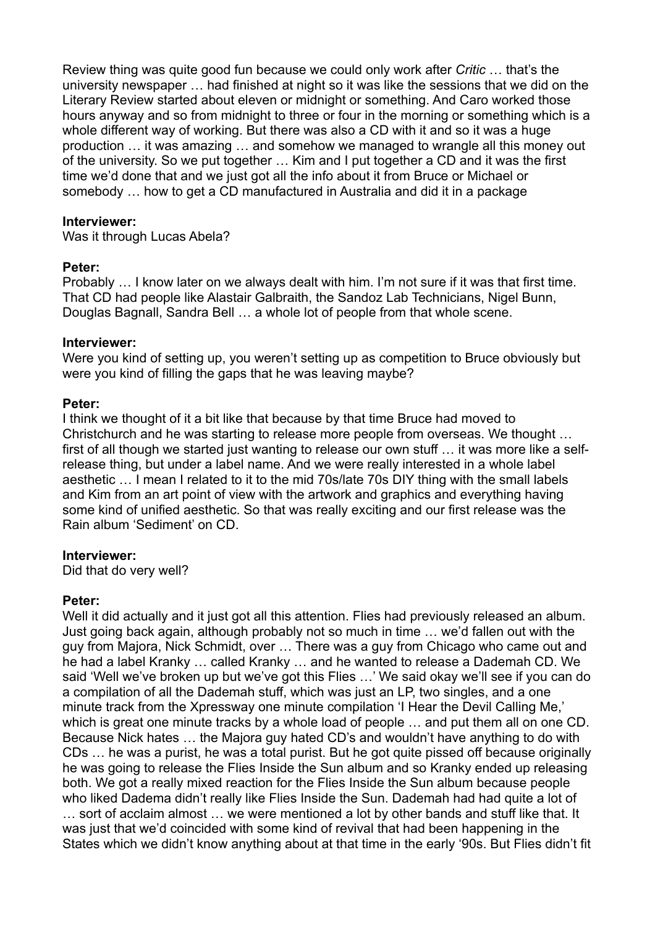Review thing was quite good fun because we could only work after *Critic* … that's the university newspaper … had finished at night so it was like the sessions that we did on the Literary Review started about eleven or midnight or something. And Caro worked those hours anyway and so from midnight to three or four in the morning or something which is a whole different way of working. But there was also a CD with it and so it was a huge production … it was amazing … and somehow we managed to wrangle all this money out of the university. So we put together … Kim and I put together a CD and it was the first time we'd done that and we just got all the info about it from Bruce or Michael or somebody … how to get a CD manufactured in Australia and did it in a package

#### **Interviewer:**

Was it through Lucas Abela?

#### **Peter:**

Probably … I know later on we always dealt with him. I'm not sure if it was that first time. That CD had people like Alastair Galbraith, the Sandoz Lab Technicians, Nigel Bunn, Douglas Bagnall, Sandra Bell … a whole lot of people from that whole scene.

#### **Interviewer:**

Were you kind of setting up, you weren't setting up as competition to Bruce obviously but were you kind of filling the gaps that he was leaving maybe?

#### **Peter:**

I think we thought of it a bit like that because by that time Bruce had moved to Christchurch and he was starting to release more people from overseas. We thought … first of all though we started just wanting to release our own stuff … it was more like a selfrelease thing, but under a label name. And we were really interested in a whole label aesthetic … I mean I related to it to the mid 70s/late 70s DIY thing with the small labels and Kim from an art point of view with the artwork and graphics and everything having some kind of unified aesthetic. So that was really exciting and our first release was the Rain album 'Sediment' on CD.

#### **Interviewer:**

Did that do very well?

#### **Peter:**

Well it did actually and it just got all this attention. Flies had previously released an album. Just going back again, although probably not so much in time … we'd fallen out with the guy from Majora, Nick Schmidt, over … There was a guy from Chicago who came out and he had a label Kranky … called Kranky … and he wanted to release a Dademah CD. We said 'Well we've broken up but we've got this Flies …' We said okay we'll see if you can do a compilation of all the Dademah stuff, which was just an LP, two singles, and a one minute track from the Xpressway one minute compilation 'I Hear the Devil Calling Me,' which is great one minute tracks by a whole load of people … and put them all on one CD. Because Nick hates … the Majora guy hated CD's and wouldn't have anything to do with CDs … he was a purist, he was a total purist. But he got quite pissed off because originally he was going to release the Flies Inside the Sun album and so Kranky ended up releasing both. We got a really mixed reaction for the Flies Inside the Sun album because people who liked Dadema didn't really like Flies Inside the Sun. Dademah had had quite a lot of … sort of acclaim almost … we were mentioned a lot by other bands and stuff like that. It was just that we'd coincided with some kind of revival that had been happening in the States which we didn't know anything about at that time in the early '90s. But Flies didn't fit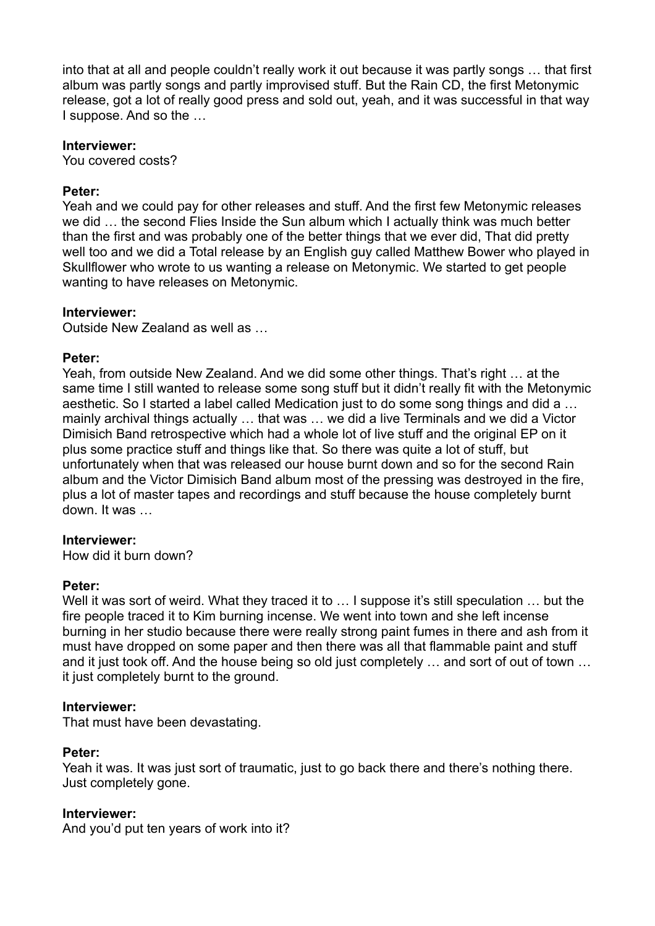into that at all and people couldn't really work it out because it was partly songs … that first album was partly songs and partly improvised stuff. But the Rain CD, the first Metonymic release, got a lot of really good press and sold out, yeah, and it was successful in that way I suppose. And so the …

#### **Interviewer:**

You covered costs?

# **Peter:**

Yeah and we could pay for other releases and stuff. And the first few Metonymic releases we did … the second Flies Inside the Sun album which I actually think was much better than the first and was probably one of the better things that we ever did, That did pretty well too and we did a Total release by an English guy called Matthew Bower who played in Skullflower who wrote to us wanting a release on Metonymic. We started to get people wanting to have releases on Metonymic.

## **Interviewer:**

Outside New Zealand as well as …

## **Peter:**

Yeah, from outside New Zealand. And we did some other things. That's right … at the same time I still wanted to release some song stuff but it didn't really fit with the Metonymic aesthetic. So I started a label called Medication just to do some song things and did a … mainly archival things actually … that was … we did a live Terminals and we did a Victor Dimisich Band retrospective which had a whole lot of live stuff and the original EP on it plus some practice stuff and things like that. So there was quite a lot of stuff, but unfortunately when that was released our house burnt down and so for the second Rain album and the Victor Dimisich Band album most of the pressing was destroyed in the fire, plus a lot of master tapes and recordings and stuff because the house completely burnt down. It was …

## **Interviewer:**

How did it burn down?

## **Peter:**

Well it was sort of weird. What they traced it to ... I suppose it's still speculation ... but the fire people traced it to Kim burning incense. We went into town and she left incense burning in her studio because there were really strong paint fumes in there and ash from it must have dropped on some paper and then there was all that flammable paint and stuff and it just took off. And the house being so old just completely … and sort of out of town … it just completely burnt to the ground.

## **Interviewer:**

That must have been devastating.

## **Peter:**

Yeah it was. It was just sort of traumatic, just to go back there and there's nothing there. Just completely gone.

## **Interviewer:**

And you'd put ten years of work into it?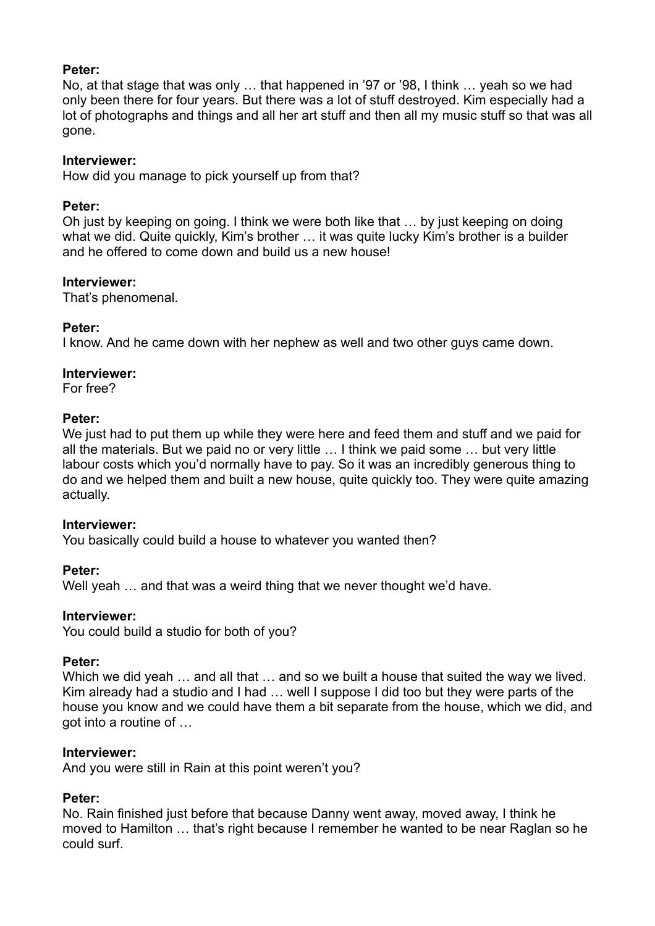## **Peter:**

No, at that stage that was only … that happened in '97 or '98, I think … yeah so we had only been there for four years. But there was a lot of stuff destroyed. Kim especially had a lot of photographs and things and all her art stuff and then all my music stuff so that was all gone.

#### **Interviewer:**

How did you manage to pick yourself up from that?

#### **Peter:**

Oh just by keeping on going. I think we were both like that … by just keeping on doing what we did. Quite quickly, Kim's brother ... it was quite lucky Kim's brother is a builder and he offered to come down and build us a new house!

#### **Interviewer:**

That's phenomenal.

## **Peter:**

I know. And he came down with her nephew as well and two other guys came down.

#### **Interviewer:**

For free?

## **Peter:**

We just had to put them up while they were here and feed them and stuff and we paid for all the materials. But we paid no or very little … I think we paid some … but very little labour costs which you'd normally have to pay. So it was an incredibly generous thing to do and we helped them and built a new house, quite quickly too. They were quite amazing actually.

## **Interviewer:**

You basically could build a house to whatever you wanted then?

## **Peter:**

Well yeah … and that was a weird thing that we never thought we'd have.

#### **Interviewer:**

You could build a studio for both of you?

#### **Peter:**

Which we did yeah ... and all that ... and so we built a house that suited the way we lived. Kim already had a studio and I had … well I suppose I did too but they were parts of the house you know and we could have them a bit separate from the house, which we did, and got into a routine of …

## **Interviewer:**

And you were still in Rain at this point weren't you?

## **Peter:**

No. Rain finished just before that because Danny went away, moved away, I think he moved to Hamilton … that's right because I remember he wanted to be near Raglan so he could surf.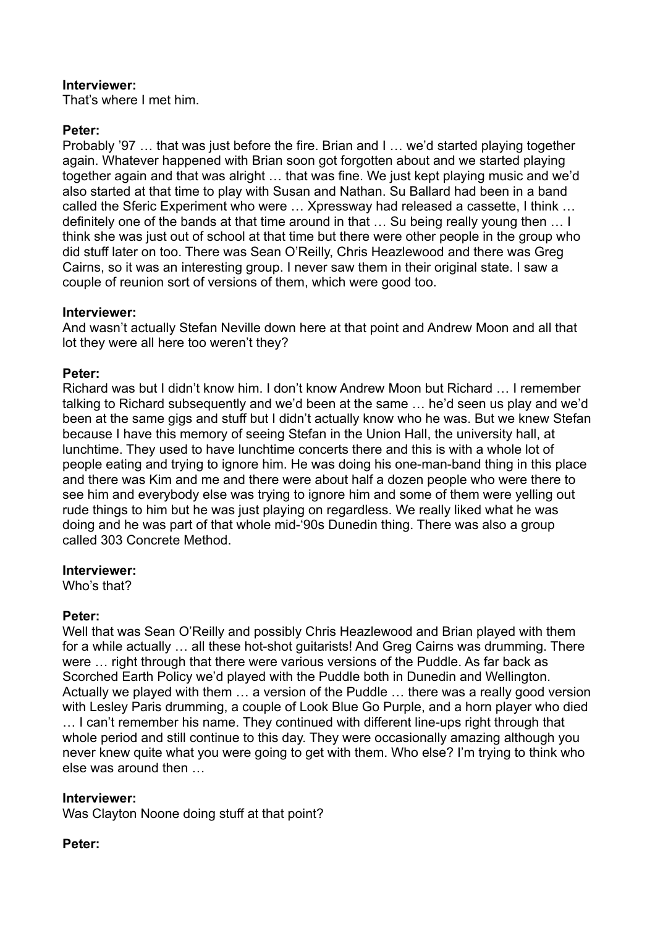# **Interviewer:**

That's where I met him.

# **Peter:**

Probably '97 … that was just before the fire. Brian and I … we'd started playing together again. Whatever happened with Brian soon got forgotten about and we started playing together again and that was alright … that was fine. We just kept playing music and we'd also started at that time to play with Susan and Nathan. Su Ballard had been in a band called the Sferic Experiment who were … Xpressway had released a cassette, I think … definitely one of the bands at that time around in that … Su being really young then … I think she was just out of school at that time but there were other people in the group who did stuff later on too. There was Sean O'Reilly, Chris Heazlewood and there was Greg Cairns, so it was an interesting group. I never saw them in their original state. I saw a couple of reunion sort of versions of them, which were good too.

# **Interviewer:**

And wasn't actually Stefan Neville down here at that point and Andrew Moon and all that lot they were all here too weren't they?

# **Peter:**

Richard was but I didn't know him. I don't know Andrew Moon but Richard … I remember talking to Richard subsequently and we'd been at the same … he'd seen us play and we'd been at the same gigs and stuff but I didn't actually know who he was. But we knew Stefan because I have this memory of seeing Stefan in the Union Hall, the university hall, at lunchtime. They used to have lunchtime concerts there and this is with a whole lot of people eating and trying to ignore him. He was doing his one-man-band thing in this place and there was Kim and me and there were about half a dozen people who were there to see him and everybody else was trying to ignore him and some of them were yelling out rude things to him but he was just playing on regardless. We really liked what he was doing and he was part of that whole mid-'90s Dunedin thing. There was also a group called 303 Concrete Method.

## **Interviewer:**

Who's that?

# **Peter:**

Well that was Sean O'Reilly and possibly Chris Heazlewood and Brian played with them for a while actually … all these hot-shot guitarists! And Greg Cairns was drumming. There were … right through that there were various versions of the Puddle. As far back as Scorched Earth Policy we'd played with the Puddle both in Dunedin and Wellington. Actually we played with them … a version of the Puddle … there was a really good version with Lesley Paris drumming, a couple of Look Blue Go Purple, and a horn player who died … I can't remember his name. They continued with different line-ups right through that whole period and still continue to this day. They were occasionally amazing although you never knew quite what you were going to get with them. Who else? I'm trying to think who else was around then …

# **Interviewer:**

Was Clayton Noone doing stuff at that point?

## **Peter:**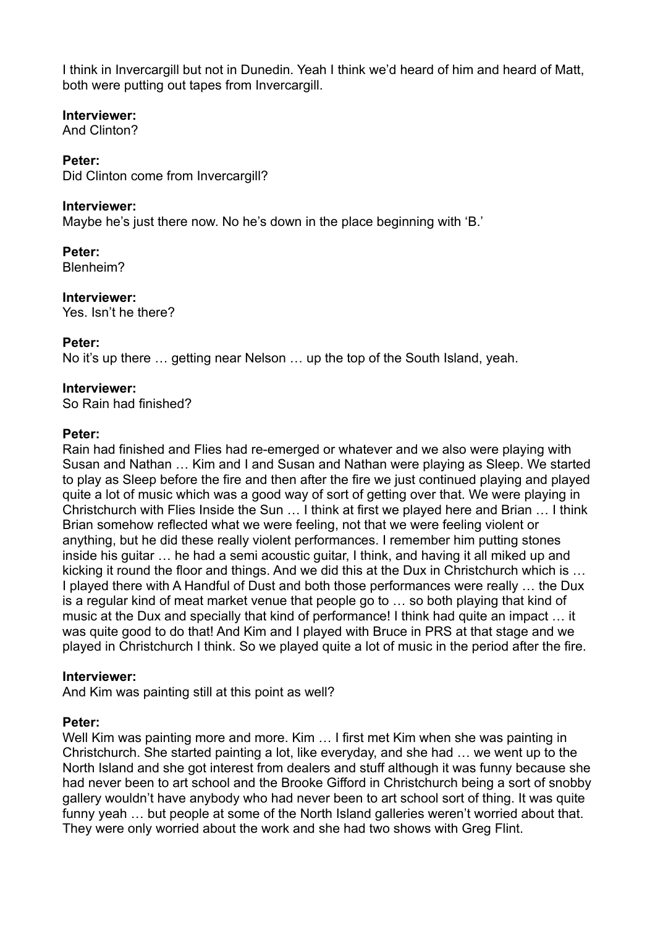I think in Invercargill but not in Dunedin. Yeah I think we'd heard of him and heard of Matt, both were putting out tapes from Invercargill.

# **Interviewer:**

And Clinton?

# **Peter:**

Did Clinton come from Invercargill?

# **Interviewer:**

Maybe he's just there now. No he's down in the place beginning with 'B.'

**Peter:**

Blenheim?

**Interviewer:** Yes. Isn't he there?

# **Peter:**

No it's up there … getting near Nelson … up the top of the South Island, yeah.

# **Interviewer:**

So Rain had finished?

# **Peter:**

Rain had finished and Flies had re-emerged or whatever and we also were playing with Susan and Nathan … Kim and I and Susan and Nathan were playing as Sleep. We started to play as Sleep before the fire and then after the fire we just continued playing and played quite a lot of music which was a good way of sort of getting over that. We were playing in Christchurch with Flies Inside the Sun … I think at first we played here and Brian … I think Brian somehow reflected what we were feeling, not that we were feeling violent or anything, but he did these really violent performances. I remember him putting stones inside his guitar … he had a semi acoustic guitar, I think, and having it all miked up and kicking it round the floor and things. And we did this at the Dux in Christchurch which is … I played there with A Handful of Dust and both those performances were really … the Dux is a regular kind of meat market venue that people go to … so both playing that kind of music at the Dux and specially that kind of performance! I think had quite an impact … it was quite good to do that! And Kim and I played with Bruce in PRS at that stage and we played in Christchurch I think. So we played quite a lot of music in the period after the fire.

## **Interviewer:**

And Kim was painting still at this point as well?

# **Peter:**

Well Kim was painting more and more. Kim … I first met Kim when she was painting in Christchurch. She started painting a lot, like everyday, and she had … we went up to the North Island and she got interest from dealers and stuff although it was funny because she had never been to art school and the Brooke Gifford in Christchurch being a sort of snobby gallery wouldn't have anybody who had never been to art school sort of thing. It was quite funny yeah … but people at some of the North Island galleries weren't worried about that. They were only worried about the work and she had two shows with Greg Flint.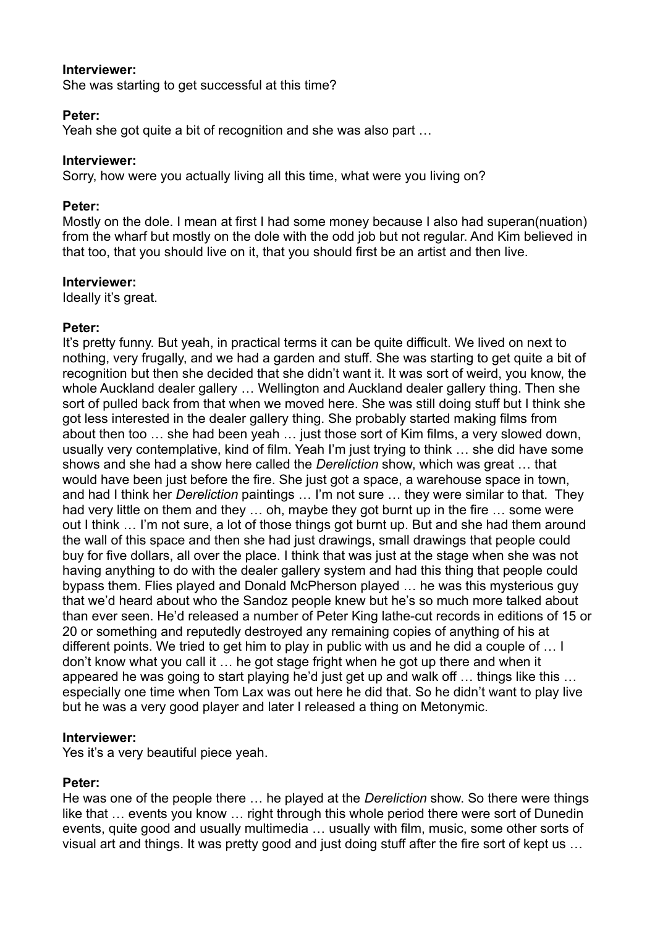## **Interviewer:**

She was starting to get successful at this time?

#### **Peter:**

Yeah she got quite a bit of recognition and she was also part …

#### **Interviewer:**

Sorry, how were you actually living all this time, what were you living on?

#### **Peter:**

Mostly on the dole. I mean at first I had some money because I also had superan(nuation) from the wharf but mostly on the dole with the odd job but not regular. And Kim believed in that too, that you should live on it, that you should first be an artist and then live.

#### **Interviewer:**

Ideally it's great.

## **Peter:**

It's pretty funny. But yeah, in practical terms it can be quite difficult. We lived on next to nothing, very frugally, and we had a garden and stuff. She was starting to get quite a bit of recognition but then she decided that she didn't want it. It was sort of weird, you know, the whole Auckland dealer gallery … Wellington and Auckland dealer gallery thing. Then she sort of pulled back from that when we moved here. She was still doing stuff but I think she got less interested in the dealer gallery thing. She probably started making films from about then too … she had been yeah … just those sort of Kim films, a very slowed down, usually very contemplative, kind of film. Yeah I'm just trying to think … she did have some shows and she had a show here called the *Dereliction* show, which was great … that would have been just before the fire. She just got a space, a warehouse space in town, and had I think her *Dereliction* paintings … I'm not sure … they were similar to that. They had very little on them and they … oh, maybe they got burnt up in the fire … some were out I think … I'm not sure, a lot of those things got burnt up. But and she had them around the wall of this space and then she had just drawings, small drawings that people could buy for five dollars, all over the place. I think that was just at the stage when she was not having anything to do with the dealer gallery system and had this thing that people could bypass them. Flies played and Donald McPherson played … he was this mysterious guy that we'd heard about who the Sandoz people knew but he's so much more talked about than ever seen. He'd released a number of Peter King lathe-cut records in editions of 15 or 20 or something and reputedly destroyed any remaining copies of anything of his at different points. We tried to get him to play in public with us and he did a couple of … I don't know what you call it … he got stage fright when he got up there and when it appeared he was going to start playing he'd just get up and walk off … things like this … especially one time when Tom Lax was out here he did that. So he didn't want to play live but he was a very good player and later I released a thing on Metonymic.

## **Interviewer:**

Yes it's a very beautiful piece yeah.

## **Peter:**

He was one of the people there … he played at the *Dereliction* show. So there were things like that … events you know … right through this whole period there were sort of Dunedin events, quite good and usually multimedia … usually with film, music, some other sorts of visual art and things. It was pretty good and just doing stuff after the fire sort of kept us …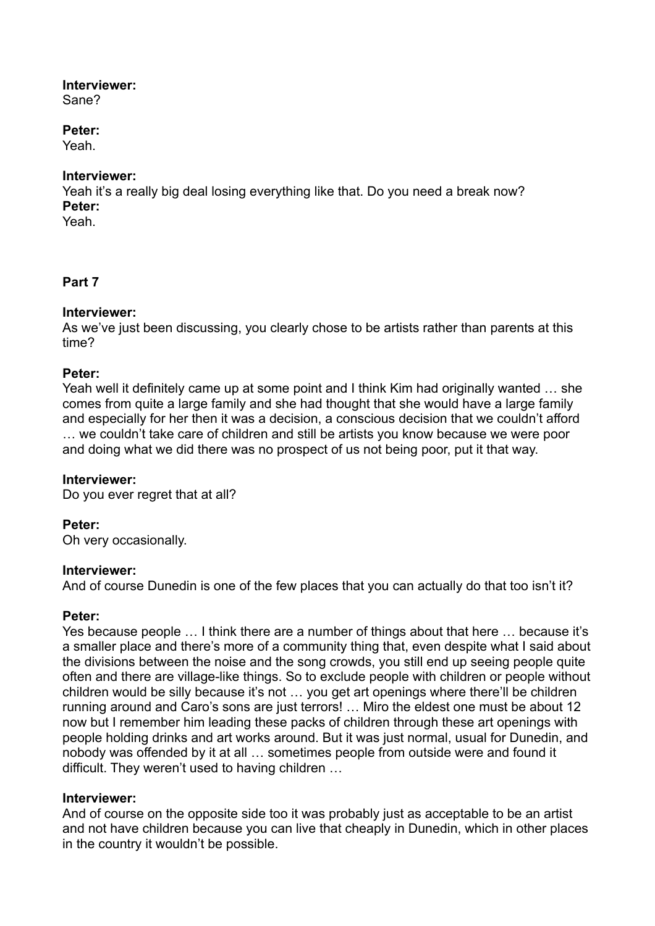# **Interviewer:**

Sane?

# **Peter:**

Yeah.

# **Interviewer:**

Yeah it's a really big deal losing everything like that. Do you need a break now? **Peter:**

Yeah.

# **Part 7**

# **Interviewer:**

As we've just been discussing, you clearly chose to be artists rather than parents at this time?

# **Peter:**

Yeah well it definitely came up at some point and I think Kim had originally wanted … she comes from quite a large family and she had thought that she would have a large family and especially for her then it was a decision, a conscious decision that we couldn't afford … we couldn't take care of children and still be artists you know because we were poor and doing what we did there was no prospect of us not being poor, put it that way.

# **Interviewer:**

Do you ever regret that at all?

# **Peter:**

Oh very occasionally.

## **Interviewer:**

And of course Dunedin is one of the few places that you can actually do that too isn't it?

# **Peter:**

Yes because people … I think there are a number of things about that here … because it's a smaller place and there's more of a community thing that, even despite what I said about the divisions between the noise and the song crowds, you still end up seeing people quite often and there are village-like things. So to exclude people with children or people without children would be silly because it's not … you get art openings where there'll be children running around and Caro's sons are just terrors! … Miro the eldest one must be about 12 now but I remember him leading these packs of children through these art openings with people holding drinks and art works around. But it was just normal, usual for Dunedin, and nobody was offended by it at all … sometimes people from outside were and found it difficult. They weren't used to having children …

## **Interviewer:**

And of course on the opposite side too it was probably just as acceptable to be an artist and not have children because you can live that cheaply in Dunedin, which in other places in the country it wouldn't be possible.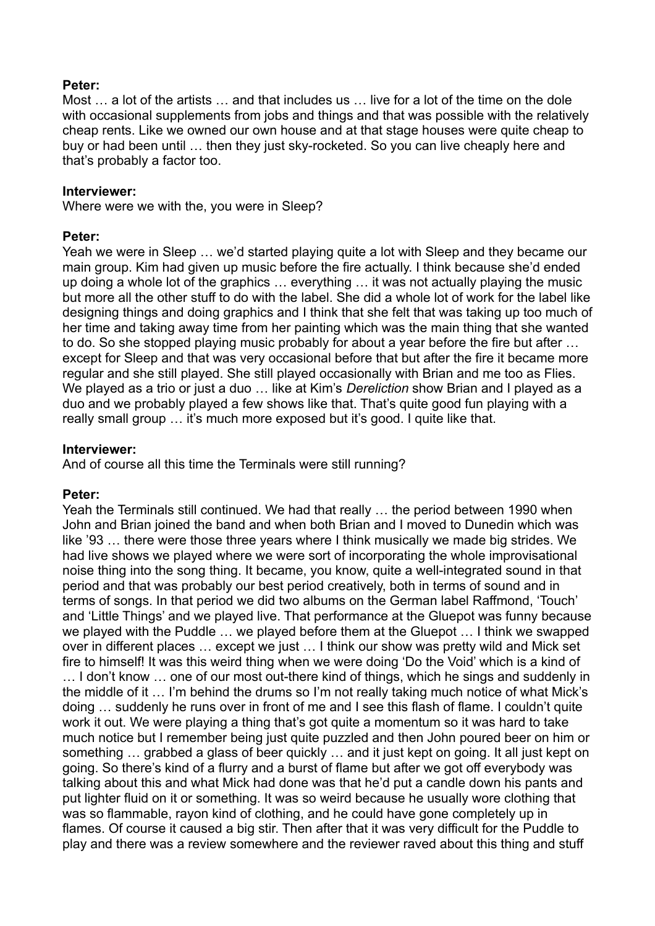## **Peter:**

Most … a lot of the artists … and that includes us … live for a lot of the time on the dole with occasional supplements from jobs and things and that was possible with the relatively cheap rents. Like we owned our own house and at that stage houses were quite cheap to buy or had been until … then they just sky-rocketed. So you can live cheaply here and that's probably a factor too.

#### **Interviewer:**

Where were we with the, you were in Sleep?

#### **Peter:**

Yeah we were in Sleep … we'd started playing quite a lot with Sleep and they became our main group. Kim had given up music before the fire actually. I think because she'd ended up doing a whole lot of the graphics … everything … it was not actually playing the music but more all the other stuff to do with the label. She did a whole lot of work for the label like designing things and doing graphics and I think that she felt that was taking up too much of her time and taking away time from her painting which was the main thing that she wanted to do. So she stopped playing music probably for about a year before the fire but after … except for Sleep and that was very occasional before that but after the fire it became more regular and she still played. She still played occasionally with Brian and me too as Flies. We played as a trio or just a duo … like at Kim's *Dereliction* show Brian and I played as a duo and we probably played a few shows like that. That's quite good fun playing with a really small group ... it's much more exposed but it's good. I quite like that.

#### **Interviewer:**

And of course all this time the Terminals were still running?

## **Peter:**

Yeah the Terminals still continued. We had that really … the period between 1990 when John and Brian joined the band and when both Brian and I moved to Dunedin which was like '93 … there were those three years where I think musically we made big strides. We had live shows we played where we were sort of incorporating the whole improvisational noise thing into the song thing. It became, you know, quite a well-integrated sound in that period and that was probably our best period creatively, both in terms of sound and in terms of songs. In that period we did two albums on the German label Raffmond, 'Touch' and 'Little Things' and we played live. That performance at the Gluepot was funny because we played with the Puddle … we played before them at the Gluepot … I think we swapped over in different places … except we just … I think our show was pretty wild and Mick set fire to himself! It was this weird thing when we were doing 'Do the Void' which is a kind of … I don't know … one of our most out-there kind of things, which he sings and suddenly in the middle of it … I'm behind the drums so I'm not really taking much notice of what Mick's doing … suddenly he runs over in front of me and I see this flash of flame. I couldn't quite work it out. We were playing a thing that's got quite a momentum so it was hard to take much notice but I remember being just quite puzzled and then John poured beer on him or something … grabbed a glass of beer quickly … and it just kept on going. It all just kept on going. So there's kind of a flurry and a burst of flame but after we got off everybody was talking about this and what Mick had done was that he'd put a candle down his pants and put lighter fluid on it or something. It was so weird because he usually wore clothing that was so flammable, rayon kind of clothing, and he could have gone completely up in flames. Of course it caused a big stir. Then after that it was very difficult for the Puddle to play and there was a review somewhere and the reviewer raved about this thing and stuff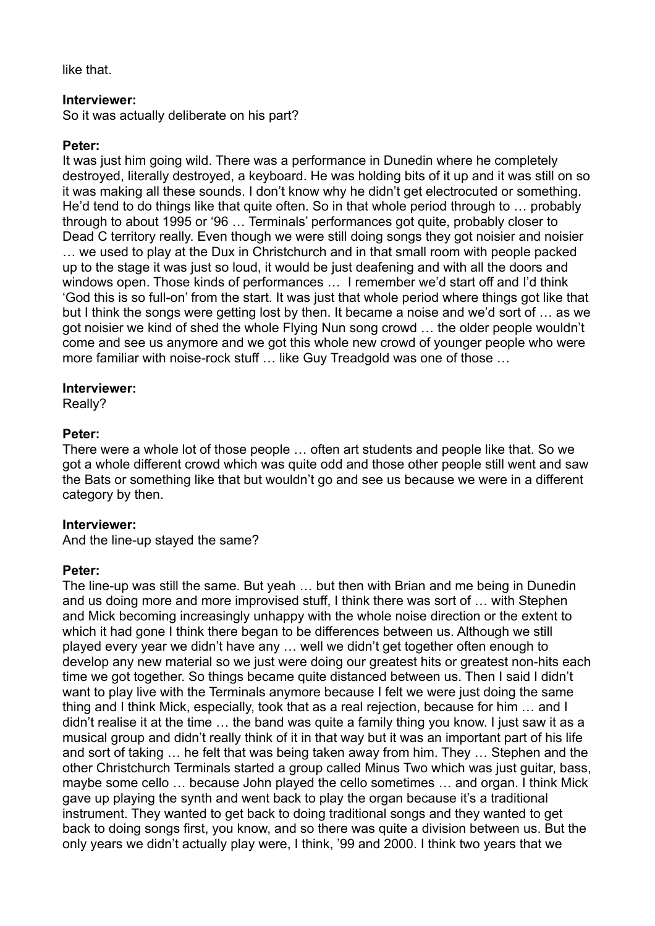like that.

#### **Interviewer:**

So it was actually deliberate on his part?

## **Peter:**

It was just him going wild. There was a performance in Dunedin where he completely destroyed, literally destroyed, a keyboard. He was holding bits of it up and it was still on so it was making all these sounds. I don't know why he didn't get electrocuted or something. He'd tend to do things like that quite often. So in that whole period through to … probably through to about 1995 or '96 … Terminals' performances got quite, probably closer to Dead C territory really. Even though we were still doing songs they got noisier and noisier … we used to play at the Dux in Christchurch and in that small room with people packed up to the stage it was just so loud, it would be just deafening and with all the doors and windows open. Those kinds of performances … I remember we'd start off and I'd think 'God this is so full-on' from the start. It was just that whole period where things got like that but I think the songs were getting lost by then. It became a noise and we'd sort of … as we got noisier we kind of shed the whole Flying Nun song crowd … the older people wouldn't come and see us anymore and we got this whole new crowd of younger people who were more familiar with noise-rock stuff … like Guy Treadgold was one of those …

#### **Interviewer:**

Really?

## **Peter:**

There were a whole lot of those people … often art students and people like that. So we got a whole different crowd which was quite odd and those other people still went and saw the Bats or something like that but wouldn't go and see us because we were in a different category by then.

## **Interviewer:**

And the line-up stayed the same?

## **Peter:**

The line-up was still the same. But yeah … but then with Brian and me being in Dunedin and us doing more and more improvised stuff, I think there was sort of … with Stephen and Mick becoming increasingly unhappy with the whole noise direction or the extent to which it had gone I think there began to be differences between us. Although we still played every year we didn't have any … well we didn't get together often enough to develop any new material so we just were doing our greatest hits or greatest non-hits each time we got together. So things became quite distanced between us. Then I said I didn't want to play live with the Terminals anymore because I felt we were just doing the same thing and I think Mick, especially, took that as a real rejection, because for him … and I didn't realise it at the time … the band was quite a family thing you know. I just saw it as a musical group and didn't really think of it in that way but it was an important part of his life and sort of taking … he felt that was being taken away from him. They … Stephen and the other Christchurch Terminals started a group called Minus Two which was just guitar, bass, maybe some cello … because John played the cello sometimes … and organ. I think Mick gave up playing the synth and went back to play the organ because it's a traditional instrument. They wanted to get back to doing traditional songs and they wanted to get back to doing songs first, you know, and so there was quite a division between us. But the only years we didn't actually play were, I think, '99 and 2000. I think two years that we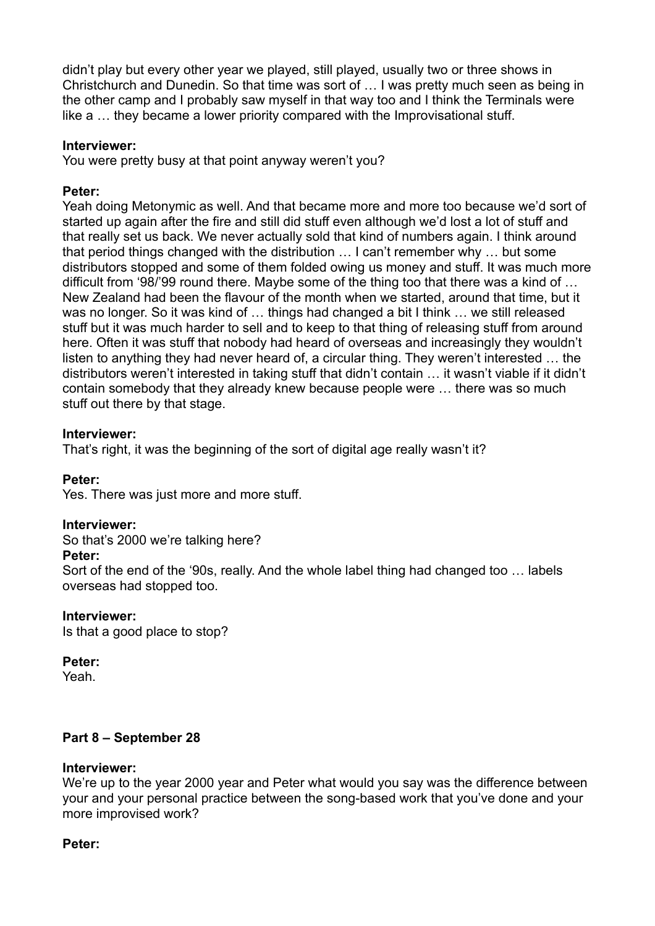didn't play but every other year we played, still played, usually two or three shows in Christchurch and Dunedin. So that time was sort of … I was pretty much seen as being in the other camp and I probably saw myself in that way too and I think the Terminals were like a … they became a lower priority compared with the Improvisational stuff.

#### **Interviewer:**

You were pretty busy at that point anyway weren't you?

#### **Peter:**

Yeah doing Metonymic as well. And that became more and more too because we'd sort of started up again after the fire and still did stuff even although we'd lost a lot of stuff and that really set us back. We never actually sold that kind of numbers again. I think around that period things changed with the distribution … I can't remember why … but some distributors stopped and some of them folded owing us money and stuff. It was much more difficult from '98/'99 round there. Maybe some of the thing too that there was a kind of … New Zealand had been the flavour of the month when we started, around that time, but it was no longer. So it was kind of … things had changed a bit I think … we still released stuff but it was much harder to sell and to keep to that thing of releasing stuff from around here. Often it was stuff that nobody had heard of overseas and increasingly they wouldn't listen to anything they had never heard of, a circular thing. They weren't interested … the distributors weren't interested in taking stuff that didn't contain … it wasn't viable if it didn't contain somebody that they already knew because people were … there was so much stuff out there by that stage.

#### **Interviewer:**

That's right, it was the beginning of the sort of digital age really wasn't it?

#### **Peter:**

Yes. There was just more and more stuff.

#### **Interviewer:**

So that's 2000 we're talking here?

#### **Peter:**

Sort of the end of the '90s, really. And the whole label thing had changed too … labels overseas had stopped too.

#### **Interviewer:**

Is that a good place to stop?

#### **Peter:**

Yeah.

## **Part 8 – September 28**

#### **Interviewer:**

We're up to the year 2000 year and Peter what would you say was the difference between your and your personal practice between the song-based work that you've done and your more improvised work?

#### **Peter:**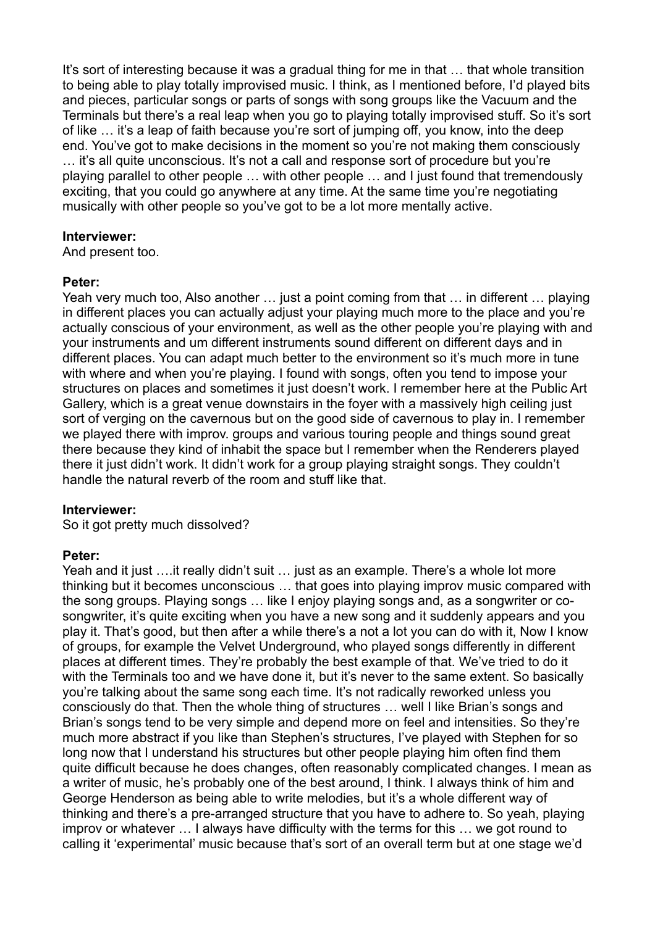It's sort of interesting because it was a gradual thing for me in that … that whole transition to being able to play totally improvised music. I think, as I mentioned before, I'd played bits and pieces, particular songs or parts of songs with song groups like the Vacuum and the Terminals but there's a real leap when you go to playing totally improvised stuff. So it's sort of like … it's a leap of faith because you're sort of jumping off, you know, into the deep end. You've got to make decisions in the moment so you're not making them consciously … it's all quite unconscious. It's not a call and response sort of procedure but you're playing parallel to other people … with other people … and I just found that tremendously exciting, that you could go anywhere at any time. At the same time you're negotiating musically with other people so you've got to be a lot more mentally active.

#### **Interviewer:**

And present too.

## **Peter:**

Yeah very much too, Also another ... just a point coming from that ... in different ... playing in different places you can actually adjust your playing much more to the place and you're actually conscious of your environment, as well as the other people you're playing with and your instruments and um different instruments sound different on different days and in different places. You can adapt much better to the environment so it's much more in tune with where and when you're playing. I found with songs, often you tend to impose your structures on places and sometimes it just doesn't work. I remember here at the Public Art Gallery, which is a great venue downstairs in the foyer with a massively high ceiling just sort of verging on the cavernous but on the good side of cavernous to play in. I remember we played there with improv. groups and various touring people and things sound great there because they kind of inhabit the space but I remember when the Renderers played there it just didn't work. It didn't work for a group playing straight songs. They couldn't handle the natural reverb of the room and stuff like that.

## **Interviewer:**

So it got pretty much dissolved?

## **Peter:**

Yeah and it just ….it really didn't suit … just as an example. There's a whole lot more thinking but it becomes unconscious … that goes into playing improv music compared with the song groups. Playing songs … like I enjoy playing songs and, as a songwriter or cosongwriter, it's quite exciting when you have a new song and it suddenly appears and you play it. That's good, but then after a while there's a not a lot you can do with it, Now I know of groups, for example the Velvet Underground, who played songs differently in different places at different times. They're probably the best example of that. We've tried to do it with the Terminals too and we have done it, but it's never to the same extent. So basically you're talking about the same song each time. It's not radically reworked unless you consciously do that. Then the whole thing of structures … well I like Brian's songs and Brian's songs tend to be very simple and depend more on feel and intensities. So they're much more abstract if you like than Stephen's structures, I've played with Stephen for so long now that I understand his structures but other people playing him often find them quite difficult because he does changes, often reasonably complicated changes. I mean as a writer of music, he's probably one of the best around, I think. I always think of him and George Henderson as being able to write melodies, but it's a whole different way of thinking and there's a pre-arranged structure that you have to adhere to. So yeah, playing improv or whatever … I always have difficulty with the terms for this … we got round to calling it 'experimental' music because that's sort of an overall term but at one stage we'd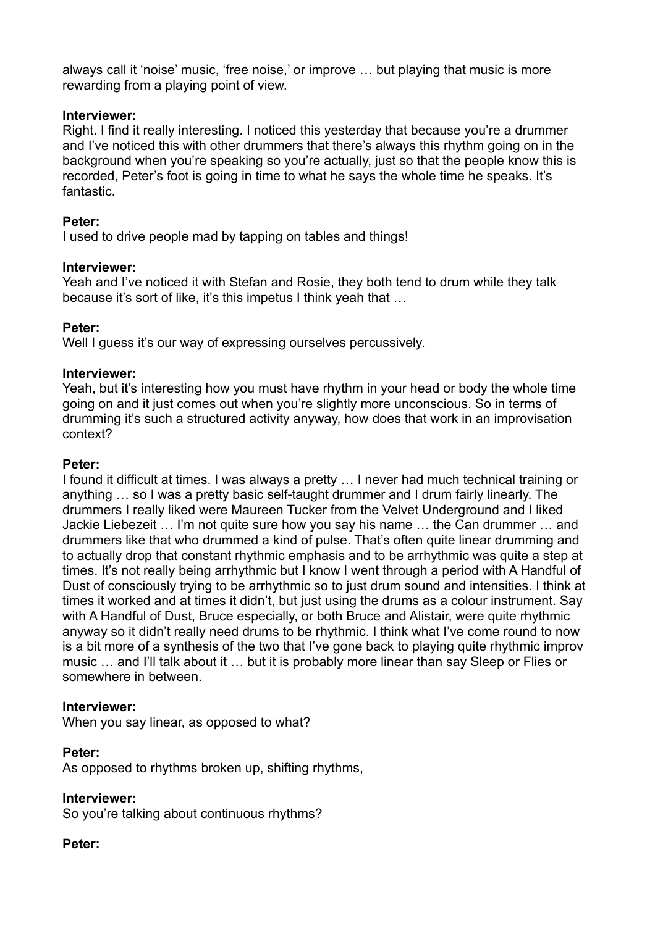always call it 'noise' music, 'free noise,' or improve … but playing that music is more rewarding from a playing point of view.

# **Interviewer:**

Right. I find it really interesting. I noticed this yesterday that because you're a drummer and I've noticed this with other drummers that there's always this rhythm going on in the background when you're speaking so you're actually, just so that the people know this is recorded, Peter's foot is going in time to what he says the whole time he speaks. It's fantastic.

# **Peter:**

I used to drive people mad by tapping on tables and things!

## **Interviewer:**

Yeah and I've noticed it with Stefan and Rosie, they both tend to drum while they talk because it's sort of like, it's this impetus I think yeah that …

# **Peter:**

Well I guess it's our way of expressing ourselves percussively.

# **Interviewer:**

Yeah, but it's interesting how you must have rhythm in your head or body the whole time going on and it just comes out when you're slightly more unconscious. So in terms of drumming it's such a structured activity anyway, how does that work in an improvisation context?

# **Peter:**

I found it difficult at times. I was always a pretty … I never had much technical training or anything … so I was a pretty basic self-taught drummer and I drum fairly linearly. The drummers I really liked were Maureen Tucker from the Velvet Underground and I liked Jackie Liebezeit … I'm not quite sure how you say his name … the Can drummer … and drummers like that who drummed a kind of pulse. That's often quite linear drumming and to actually drop that constant rhythmic emphasis and to be arrhythmic was quite a step at times. It's not really being arrhythmic but I know I went through a period with A Handful of Dust of consciously trying to be arrhythmic so to just drum sound and intensities. I think at times it worked and at times it didn't, but just using the drums as a colour instrument. Say with A Handful of Dust, Bruce especially, or both Bruce and Alistair, were quite rhythmic anyway so it didn't really need drums to be rhythmic. I think what I've come round to now is a bit more of a synthesis of the two that I've gone back to playing quite rhythmic improv music … and I'll talk about it … but it is probably more linear than say Sleep or Flies or somewhere in between.

# **Interviewer:**

When you say linear, as opposed to what?

# **Peter:**

As opposed to rhythms broken up, shifting rhythms,

## **Interviewer:**

So you're talking about continuous rhythms?

# **Peter:**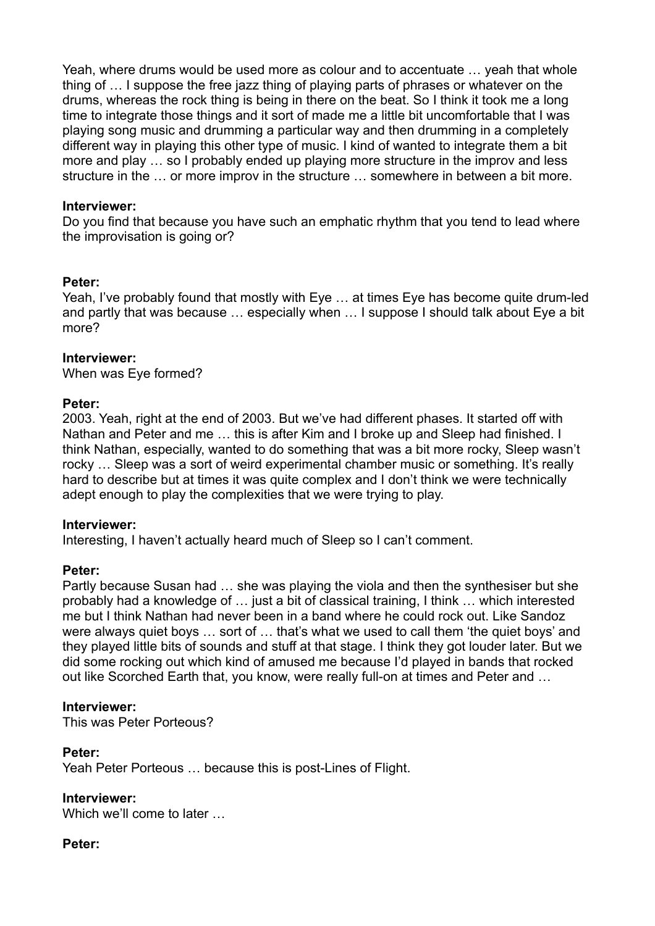Yeah, where drums would be used more as colour and to accentuate … yeah that whole thing of … I suppose the free jazz thing of playing parts of phrases or whatever on the drums, whereas the rock thing is being in there on the beat. So I think it took me a long time to integrate those things and it sort of made me a little bit uncomfortable that I was playing song music and drumming a particular way and then drumming in a completely different way in playing this other type of music. I kind of wanted to integrate them a bit more and play … so I probably ended up playing more structure in the improv and less structure in the … or more improv in the structure … somewhere in between a bit more.

#### **Interviewer:**

Do you find that because you have such an emphatic rhythm that you tend to lead where the improvisation is going or?

#### **Peter:**

Yeah, I've probably found that mostly with Eye … at times Eye has become quite drum-led and partly that was because … especially when … I suppose I should talk about Eye a bit more?

#### **Interviewer:**

When was Eye formed?

#### **Peter:**

2003. Yeah, right at the end of 2003. But we've had different phases. It started off with Nathan and Peter and me … this is after Kim and I broke up and Sleep had finished. I think Nathan, especially, wanted to do something that was a bit more rocky, Sleep wasn't rocky ... Sleep was a sort of weird experimental chamber music or something. It's really hard to describe but at times it was quite complex and I don't think we were technically adept enough to play the complexities that we were trying to play.

## **Interviewer:**

Interesting, I haven't actually heard much of Sleep so I can't comment.

## **Peter:**

Partly because Susan had … she was playing the viola and then the synthesiser but she probably had a knowledge of … just a bit of classical training, I think … which interested me but I think Nathan had never been in a band where he could rock out. Like Sandoz were always quiet boys … sort of … that's what we used to call them 'the quiet boys' and they played little bits of sounds and stuff at that stage. I think they got louder later. But we did some rocking out which kind of amused me because I'd played in bands that rocked out like Scorched Earth that, you know, were really full-on at times and Peter and …

## **Interviewer:**

This was Peter Porteous?

## **Peter:**

Yeah Peter Porteous … because this is post-Lines of Flight.

## **Interviewer:**

Which we'll come to later …

## **Peter:**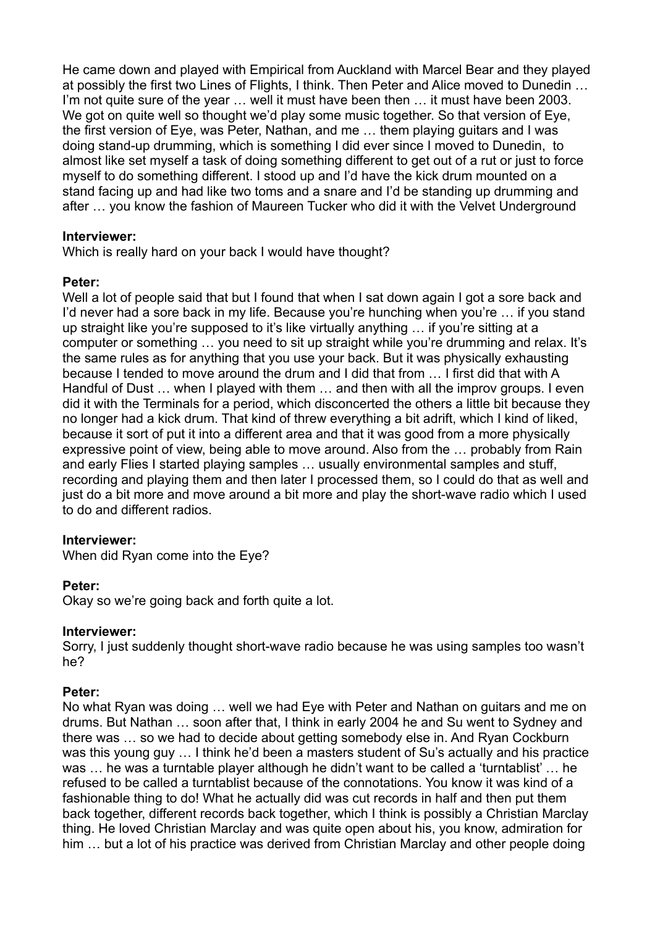He came down and played with Empirical from Auckland with Marcel Bear and they played at possibly the first two Lines of Flights, I think. Then Peter and Alice moved to Dunedin … I'm not quite sure of the year … well it must have been then … it must have been 2003. We got on quite well so thought we'd play some music together. So that version of Eye, the first version of Eye, was Peter, Nathan, and me … them playing guitars and I was doing stand-up drumming, which is something I did ever since I moved to Dunedin, to almost like set myself a task of doing something different to get out of a rut or just to force myself to do something different. I stood up and I'd have the kick drum mounted on a stand facing up and had like two toms and a snare and I'd be standing up drumming and after … you know the fashion of Maureen Tucker who did it with the Velvet Underground

#### **Interviewer:**

Which is really hard on your back I would have thought?

## **Peter:**

Well a lot of people said that but I found that when I sat down again I got a sore back and I'd never had a sore back in my life. Because you're hunching when you're ... if you stand up straight like you're supposed to it's like virtually anything … if you're sitting at a computer or something … you need to sit up straight while you're drumming and relax. It's the same rules as for anything that you use your back. But it was physically exhausting because I tended to move around the drum and I did that from … I first did that with A Handful of Dust ... when I played with them ... and then with all the improv groups. I even did it with the Terminals for a period, which disconcerted the others a little bit because they no longer had a kick drum. That kind of threw everything a bit adrift, which I kind of liked, because it sort of put it into a different area and that it was good from a more physically expressive point of view, being able to move around. Also from the … probably from Rain and early Flies I started playing samples … usually environmental samples and stuff, recording and playing them and then later I processed them, so I could do that as well and just do a bit more and move around a bit more and play the short-wave radio which I used to do and different radios.

## **Interviewer:**

When did Ryan come into the Eye?

#### **Peter:**

Okay so we're going back and forth quite a lot.

#### **Interviewer:**

Sorry, I just suddenly thought short-wave radio because he was using samples too wasn't he?

## **Peter:**

No what Ryan was doing … well we had Eye with Peter and Nathan on guitars and me on drums. But Nathan … soon after that, I think in early 2004 he and Su went to Sydney and there was … so we had to decide about getting somebody else in. And Ryan Cockburn was this young guy … I think he'd been a masters student of Su's actually and his practice was … he was a turntable player although he didn't want to be called a 'turntablist' … he refused to be called a turntablist because of the connotations. You know it was kind of a fashionable thing to do! What he actually did was cut records in half and then put them back together, different records back together, which I think is possibly a Christian Marclay thing. He loved Christian Marclay and was quite open about his, you know, admiration for him … but a lot of his practice was derived from Christian Marclay and other people doing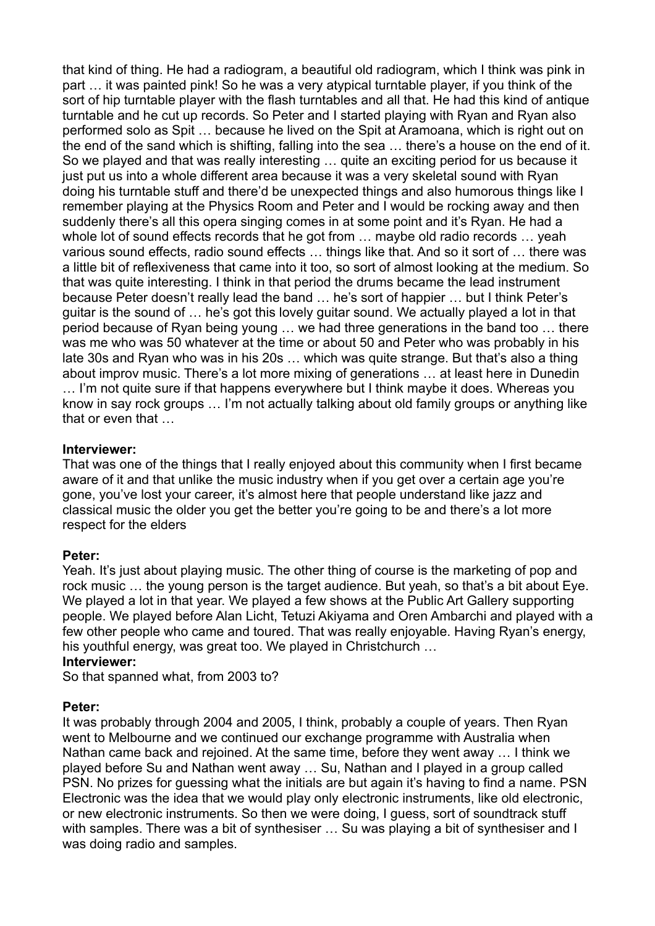that kind of thing. He had a radiogram, a beautiful old radiogram, which I think was pink in part … it was painted pink! So he was a very atypical turntable player, if you think of the sort of hip turntable player with the flash turntables and all that. He had this kind of antique turntable and he cut up records. So Peter and I started playing with Ryan and Ryan also performed solo as Spit … because he lived on the Spit at Aramoana, which is right out on the end of the sand which is shifting, falling into the sea … there's a house on the end of it. So we played and that was really interesting … quite an exciting period for us because it just put us into a whole different area because it was a very skeletal sound with Ryan doing his turntable stuff and there'd be unexpected things and also humorous things like I remember playing at the Physics Room and Peter and I would be rocking away and then suddenly there's all this opera singing comes in at some point and it's Ryan. He had a whole lot of sound effects records that he got from … maybe old radio records … yeah various sound effects, radio sound effects … things like that. And so it sort of … there was a little bit of reflexiveness that came into it too, so sort of almost looking at the medium. So that was quite interesting. I think in that period the drums became the lead instrument because Peter doesn't really lead the band … he's sort of happier … but I think Peter's guitar is the sound of … he's got this lovely guitar sound. We actually played a lot in that period because of Ryan being young … we had three generations in the band too … there was me who was 50 whatever at the time or about 50 and Peter who was probably in his late 30s and Ryan who was in his 20s … which was quite strange. But that's also a thing about improv music. There's a lot more mixing of generations … at least here in Dunedin … I'm not quite sure if that happens everywhere but I think maybe it does. Whereas you know in say rock groups … I'm not actually talking about old family groups or anything like that or even that …

#### **Interviewer:**

That was one of the things that I really enjoyed about this community when I first became aware of it and that unlike the music industry when if you get over a certain age you're gone, you've lost your career, it's almost here that people understand like jazz and classical music the older you get the better you're going to be and there's a lot more respect for the elders

## **Peter:**

Yeah. It's just about playing music. The other thing of course is the marketing of pop and rock music … the young person is the target audience. But yeah, so that's a bit about Eye. We played a lot in that year. We played a few shows at the Public Art Gallery supporting people. We played before Alan Licht, Tetuzi Akiyama and Oren Ambarchi and played with a few other people who came and toured. That was really enjoyable. Having Ryan's energy, his youthful energy, was great too. We played in Christchurch …

#### **Interviewer:**

So that spanned what, from 2003 to?

## **Peter:**

It was probably through 2004 and 2005, I think, probably a couple of years. Then Ryan went to Melbourne and we continued our exchange programme with Australia when Nathan came back and rejoined. At the same time, before they went away ... I think we played before Su and Nathan went away … Su, Nathan and I played in a group called PSN. No prizes for guessing what the initials are but again it's having to find a name. PSN Electronic was the idea that we would play only electronic instruments, like old electronic, or new electronic instruments. So then we were doing, I guess, sort of soundtrack stuff with samples. There was a bit of synthesiser ... Su was playing a bit of synthesiser and I was doing radio and samples.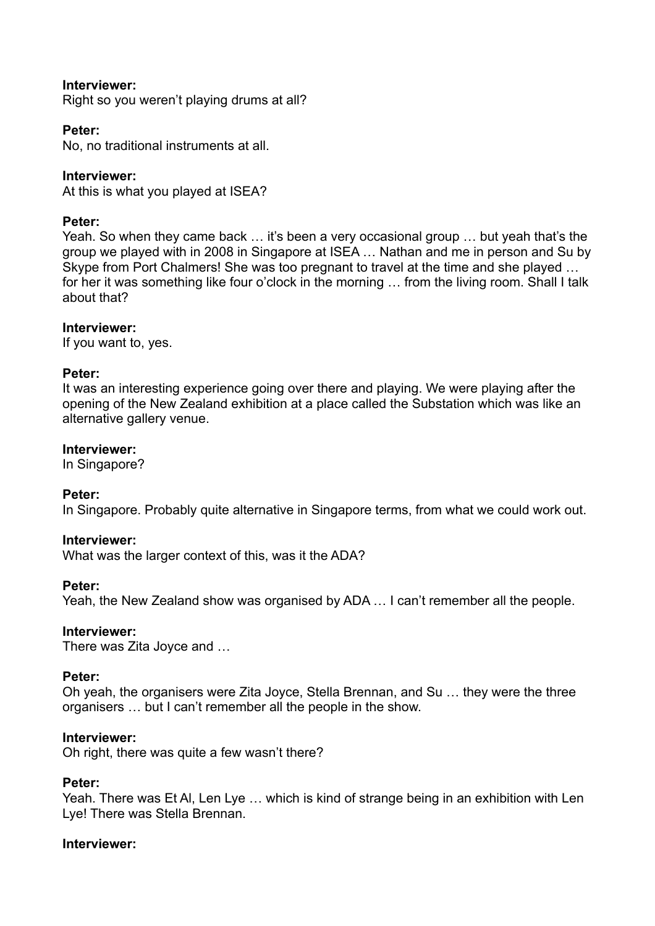## **Interviewer:**

Right so you weren't playing drums at all?

#### **Peter:**

No, no traditional instruments at all.

#### **Interviewer:**

At this is what you played at ISEA?

#### **Peter:**

Yeah. So when they came back … it's been a very occasional group … but yeah that's the group we played with in 2008 in Singapore at ISEA … Nathan and me in person and Su by Skype from Port Chalmers! She was too pregnant to travel at the time and she played … for her it was something like four o'clock in the morning ... from the living room. Shall I talk about that?

#### **Interviewer:**

If you want to, yes.

#### **Peter:**

It was an interesting experience going over there and playing. We were playing after the opening of the New Zealand exhibition at a place called the Substation which was like an alternative gallery venue.

#### **Interviewer:**

In Singapore?

#### **Peter:**

In Singapore. Probably quite alternative in Singapore terms, from what we could work out.

#### **Interviewer:**

What was the larger context of this, was it the ADA?

#### **Peter:**

Yeah, the New Zealand show was organised by ADA … I can't remember all the people.

#### **Interviewer:**

There was Zita Joyce and …

#### **Peter:**

Oh yeah, the organisers were Zita Joyce, Stella Brennan, and Su … they were the three organisers … but I can't remember all the people in the show.

#### **Interviewer:**

Oh right, there was quite a few wasn't there?

#### **Peter:**

Yeah. There was Et Al, Len Lye … which is kind of strange being in an exhibition with Len Lye! There was Stella Brennan.

#### **Interviewer:**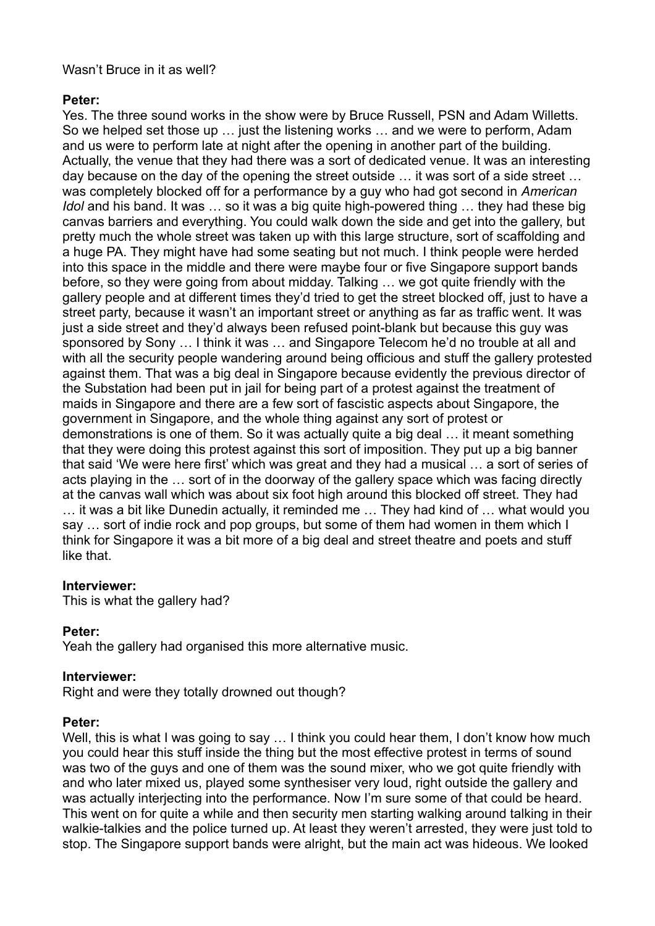# Wasn't Bruce in it as well?

# **Peter:**

Yes. The three sound works in the show were by Bruce Russell, PSN and Adam Willetts. So we helped set those up … just the listening works … and we were to perform, Adam and us were to perform late at night after the opening in another part of the building. Actually, the venue that they had there was a sort of dedicated venue. It was an interesting day because on the day of the opening the street outside … it was sort of a side street … was completely blocked off for a performance by a guy who had got second in *American Idol* and his band. It was ... so it was a big quite high-powered thing ... they had these big canvas barriers and everything. You could walk down the side and get into the gallery, but pretty much the whole street was taken up with this large structure, sort of scaffolding and a huge PA. They might have had some seating but not much. I think people were herded into this space in the middle and there were maybe four or five Singapore support bands before, so they were going from about midday. Talking … we got quite friendly with the gallery people and at different times they'd tried to get the street blocked off, just to have a street party, because it wasn't an important street or anything as far as traffic went. It was just a side street and they'd always been refused point-blank but because this guy was sponsored by Sony … I think it was … and Singapore Telecom he'd no trouble at all and with all the security people wandering around being officious and stuff the gallery protested against them. That was a big deal in Singapore because evidently the previous director of the Substation had been put in jail for being part of a protest against the treatment of maids in Singapore and there are a few sort of fascistic aspects about Singapore, the government in Singapore, and the whole thing against any sort of protest or demonstrations is one of them. So it was actually quite a big deal … it meant something that they were doing this protest against this sort of imposition. They put up a big banner that said 'We were here first' which was great and they had a musical … a sort of series of acts playing in the … sort of in the doorway of the gallery space which was facing directly at the canvas wall which was about six foot high around this blocked off street. They had … it was a bit like Dunedin actually, it reminded me … They had kind of … what would you say … sort of indie rock and pop groups, but some of them had women in them which I think for Singapore it was a bit more of a big deal and street theatre and poets and stuff like that.

## **Interviewer:**

This is what the gallery had?

# **Peter:**

Yeah the gallery had organised this more alternative music.

# **Interviewer:**

Right and were they totally drowned out though?

## **Peter:**

Well, this is what I was going to say ... I think you could hear them, I don't know how much you could hear this stuff inside the thing but the most effective protest in terms of sound was two of the guys and one of them was the sound mixer, who we got quite friendly with and who later mixed us, played some synthesiser very loud, right outside the gallery and was actually interjecting into the performance. Now I'm sure some of that could be heard. This went on for quite a while and then security men starting walking around talking in their walkie-talkies and the police turned up. At least they weren't arrested, they were just told to stop. The Singapore support bands were alright, but the main act was hideous. We looked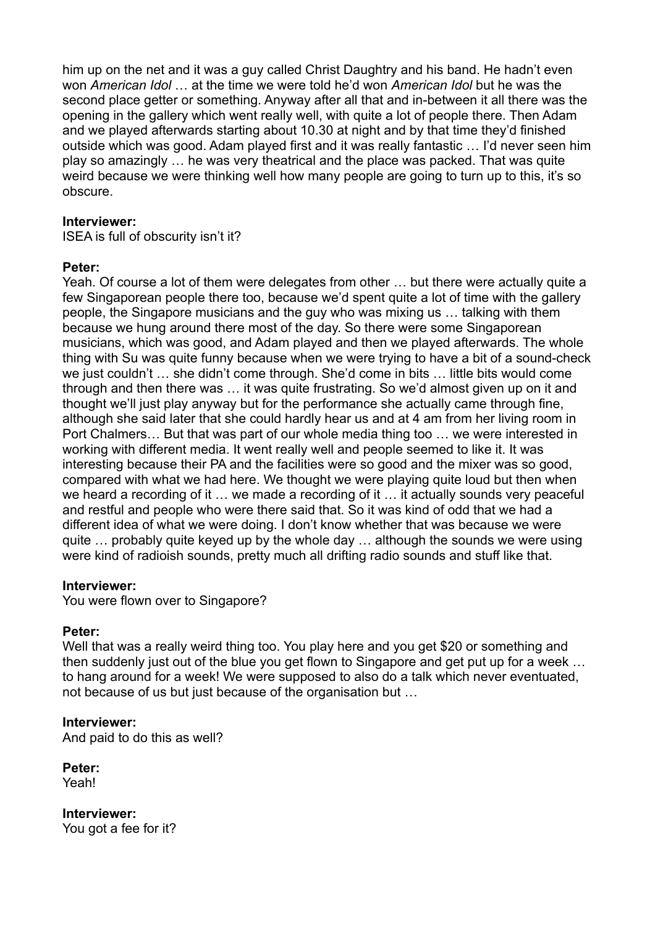him up on the net and it was a guy called Christ Daughtry and his band. He hadn't even won *American Idol* … at the time we were told he'd won *American Idol* but he was the second place getter or something. Anyway after all that and in-between it all there was the opening in the gallery which went really well, with quite a lot of people there. Then Adam and we played afterwards starting about 10.30 at night and by that time they'd finished outside which was good. Adam played first and it was really fantastic … I'd never seen him play so amazingly … he was very theatrical and the place was packed. That was quite weird because we were thinking well how many people are going to turn up to this, it's so obscure.

#### **Interviewer:**

ISEA is full of obscurity isn't it?

#### **Peter:**

Yeah. Of course a lot of them were delegates from other … but there were actually quite a few Singaporean people there too, because we'd spent quite a lot of time with the gallery people, the Singapore musicians and the guy who was mixing us … talking with them because we hung around there most of the day. So there were some Singaporean musicians, which was good, and Adam played and then we played afterwards. The whole thing with Su was quite funny because when we were trying to have a bit of a sound-check we just couldn't … she didn't come through. She'd come in bits … little bits would come through and then there was … it was quite frustrating. So we'd almost given up on it and thought we'll just play anyway but for the performance she actually came through fine, although she said later that she could hardly hear us and at 4 am from her living room in Port Chalmers… But that was part of our whole media thing too … we were interested in working with different media. It went really well and people seemed to like it. It was interesting because their PA and the facilities were so good and the mixer was so good, compared with what we had here. We thought we were playing quite loud but then when we heard a recording of it … we made a recording of it … it actually sounds very peaceful and restful and people who were there said that. So it was kind of odd that we had a different idea of what we were doing. I don't know whether that was because we were quite … probably quite keyed up by the whole day … although the sounds we were using were kind of radioish sounds, pretty much all drifting radio sounds and stuff like that.

#### **Interviewer:**

You were flown over to Singapore?

## **Peter:**

Well that was a really weird thing too. You play here and you get \$20 or something and then suddenly just out of the blue you get flown to Singapore and get put up for a week … to hang around for a week! We were supposed to also do a talk which never eventuated, not because of us but just because of the organisation but …

## **Interviewer:**

And paid to do this as well?

**Peter:** Yeah!

**Interviewer:** You got a fee for it?